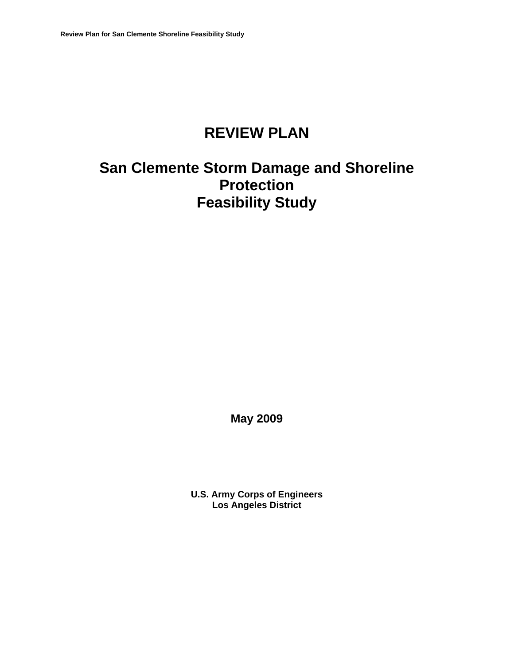# **REVIEW PLAN**

# **San Clemente Storm Damage and Shoreline Protection Feasibility Study**

**May 2009**

**U.S. Army Corps of Engineers Los Angeles District**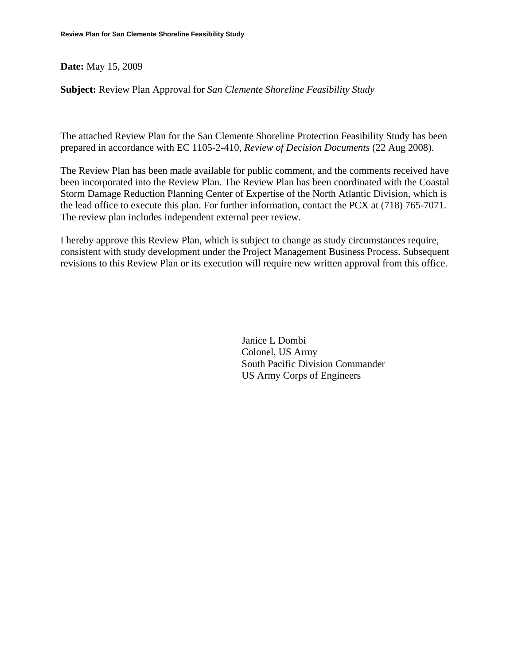#### **Date:** May 15, 2009

**Subject:** Review Plan Approval for *San Clemente Shoreline Feasibility Study*

The attached Review Plan for the San Clemente Shoreline Protection Feasibility Study has been prepared in accordance with EC 1105-2-410, *Review of Decision Documents* (22 Aug 2008).

The Review Plan has been made available for public comment, and the comments received have been incorporated into the Review Plan. The Review Plan has been coordinated with the Coastal Storm Damage Reduction Planning Center of Expertise of the North Atlantic Division, which is the lead office to execute this plan. For further information, contact the PCX at (718) 765-7071. The review plan includes independent external peer review.

I hereby approve this Review Plan, which is subject to change as study circumstances require, consistent with study development under the Project Management Business Process. Subsequent revisions to this Review Plan or its execution will require new written approval from this office.

> Janice L Dombi Colonel, US Army South Pacific Division Commander US Army Corps of Engineers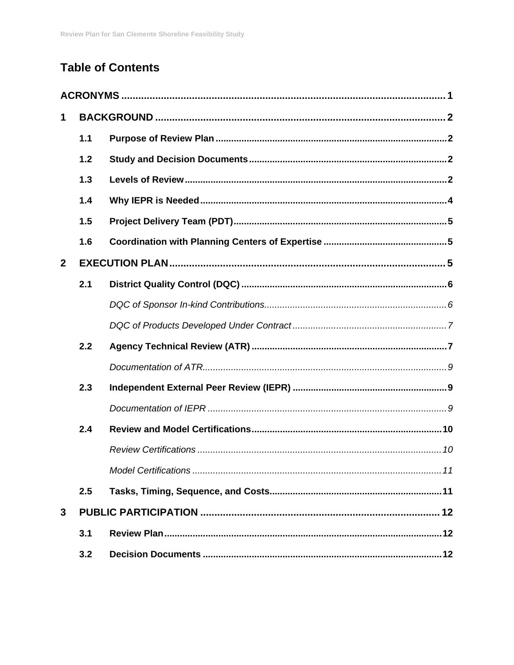## **Table of Contents**

| $\mathbf{1}$   |     |  |
|----------------|-----|--|
|                | 1.1 |  |
|                | 1.2 |  |
|                | 1.3 |  |
|                | 1.4 |  |
|                | 1.5 |  |
|                | 1.6 |  |
| $\overline{2}$ |     |  |
|                | 2.1 |  |
|                |     |  |
|                |     |  |
|                | 2.2 |  |
|                |     |  |
|                | 2.3 |  |
|                |     |  |
|                | 2.4 |  |
|                |     |  |
|                |     |  |
|                | 2.5 |  |
| 3              |     |  |
| 3.1            |     |  |
|                | 3.2 |  |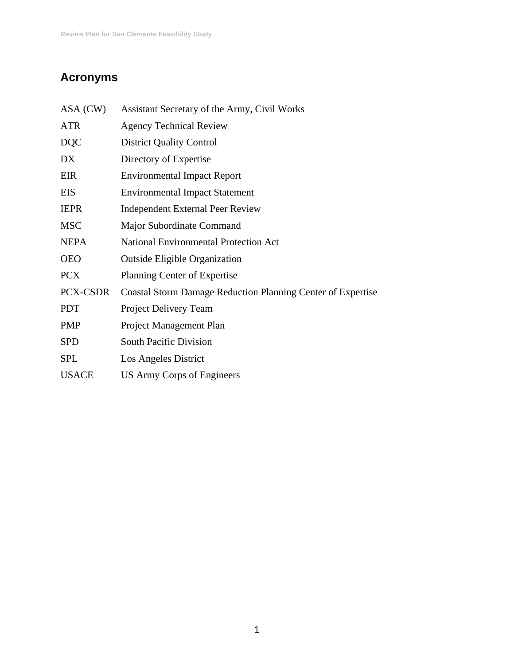## **Acronyms**

| ASA (CW)     | Assistant Secretary of the Army, Civil Works                       |
|--------------|--------------------------------------------------------------------|
| <b>ATR</b>   | <b>Agency Technical Review</b>                                     |
| <b>DQC</b>   | <b>District Quality Control</b>                                    |
| DX           | Directory of Expertise                                             |
| EIR          | <b>Environmental Impact Report</b>                                 |
| <b>EIS</b>   | <b>Environmental Impact Statement</b>                              |
| <b>IEPR</b>  | Independent External Peer Review                                   |
| <b>MSC</b>   | Major Subordinate Command                                          |
| <b>NEPA</b>  | <b>National Environmental Protection Act</b>                       |
| <b>OEO</b>   | <b>Outside Eligible Organization</b>                               |
| <b>PCX</b>   | Planning Center of Expertise                                       |
| PCX-CSDR     | <b>Coastal Storm Damage Reduction Planning Center of Expertise</b> |
| <b>PDT</b>   | Project Delivery Team                                              |
| <b>PMP</b>   | Project Management Plan                                            |
| <b>SPD</b>   | <b>South Pacific Division</b>                                      |
| <b>SPL</b>   | Los Angeles District                                               |
| <b>USACE</b> | <b>US Army Corps of Engineers</b>                                  |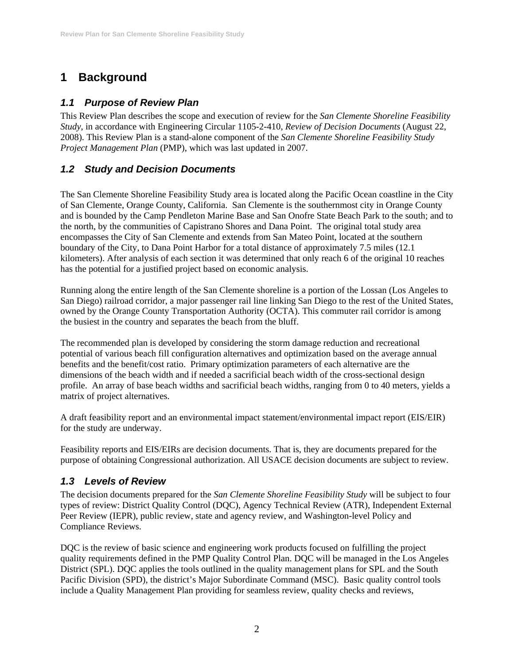## **1 Background**

## *1.1 Purpose of Review Plan*

This Review Plan describes the scope and execution of review for the *San Clemente Shoreline Feasibility Study*, in accordance with Engineering Circular 1105-2-410, *Review of Decision Documents* (August 22, 2008). This Review Plan is a stand-alone component of the *San Clemente Shoreline Feasibility Study Project Management Plan (PMP), which was last updated in 2007.* 

## *1.2 Study and Decision Documents*

The San Clemente Shoreline Feasibility Study area is located along the Pacific Ocean coastline in the City of San Clemente, Orange County, California. San Clemente is the southernmost city in Orange County and is bounded by the Camp Pendleton Marine Base and San Onofre State Beach Park to the south; and to the north, by the communities of Capistrano Shores and Dana Point. The original total study area encompasses the City of San Clemente and extends from San Mateo Point, located at the southern boundary of the City, to Dana Point Harbor for a total distance of approximately 7.5 miles (12.1 kilometers). After analysis of each section it was determined that only reach 6 of the original 10 reaches has the potential for a justified project based on economic analysis.

Running along the entire length of the San Clemente shoreline is a portion of the Lossan (Los Angeles to San Diego) railroad corridor, a major passenger rail line linking San Diego to the rest of the United States, owned by the Orange County Transportation Authority (OCTA). This commuter rail corridor is among the busiest in the country and separates the beach from the bluff.

The recommended plan is developed by considering the storm damage reduction and recreational potential of various beach fill configuration alternatives and optimization based on the average annual benefits and the benefit/cost ratio. Primary optimization parameters of each alternative are the dimensions of the beach width and if needed a sacrificial beach width of the cross-sectional design profile. An array of base beach widths and sacrificial beach widths, ranging from 0 to 40 meters, yields a matrix of project alternatives.

A draft feasibility report and an environmental impact statement/environmental impact report (EIS/EIR) for the study are underway.

Feasibility reports and EIS/EIRs are decision documents. That is, they are documents prepared for the purpose of obtaining Congressional authorization. All USACE decision documents are subject to review.

## *1.3 Levels of Review*

The decision documents prepared for the *San Clemente Shoreline Feasibility Study* will be subject to four types of review: District Quality Control (DQC), Agency Technical Review (ATR), Independent External Peer Review (IEPR), public review, state and agency review, and Washington-level Policy and Compliance Reviews.

DQC is the review of basic science and engineering work products focused on fulfilling the project quality requirements defined in the PMP Quality Control Plan. DQC will be managed in the Los Angeles District (SPL). DQC applies the tools outlined in the quality management plans for SPL and the South Pacific Division (SPD), the district's Major Subordinate Command (MSC). Basic quality control tools include a Quality Management Plan providing for seamless review, quality checks and reviews,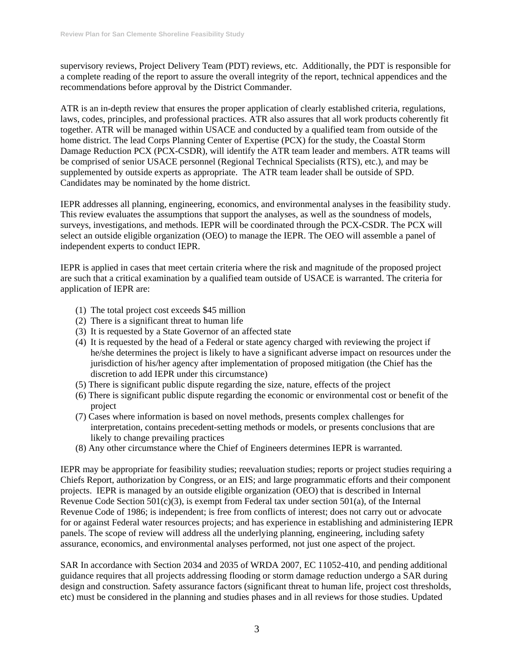supervisory reviews, Project Delivery Team (PDT) reviews, etc. Additionally, the PDT is responsible for a complete reading of the report to assure the overall integrity of the report, technical appendices and the recommendations before approval by the District Commander.

ATR is an in-depth review that ensures the proper application of clearly established criteria, regulations, laws, codes, principles, and professional practices. ATR also assures that all work products coherently fit together. ATR will be managed within USACE and conducted by a qualified team from outside of the home district. The lead Corps Planning Center of Expertise (PCX) for the study, the Coastal Storm Damage Reduction PCX (PCX-CSDR), will identify the ATR team leader and members. ATR teams will be comprised of senior USACE personnel (Regional Technical Specialists (RTS), etc.), and may be supplemented by outside experts as appropriate. The ATR team leader shall be outside of SPD. Candidates may be nominated by the home district.

IEPR addresses all planning, engineering, economics, and environmental analyses in the feasibility study. This review evaluates the assumptions that support the analyses, as well as the soundness of models, surveys, investigations, and methods. IEPR will be coordinated through the PCX-CSDR. The PCX will select an outside eligible organization (OEO) to manage the IEPR. The OEO will assemble a panel of independent experts to conduct IEPR.

IEPR is applied in cases that meet certain criteria where the risk and magnitude of the proposed project are such that a critical examination by a qualified team outside of USACE is warranted. The criteria for application of IEPR are:

- (1) The total project cost exceeds \$45 million
- (2) There is a significant threat to human life
- (3) It is requested by a State Governor of an affected state
- (4) It is requested by the head of a Federal or state agency charged with reviewing the project if he/she determines the project is likely to have a significant adverse impact on resources under the jurisdiction of his/her agency after implementation of proposed mitigation (the Chief has the discretion to add IEPR under this circumstance)
- (5) There is significant public dispute regarding the size, nature, effects of the project
- (6) There is significant public dispute regarding the economic or environmental cost or benefit of the project
- (7) Cases where information is based on novel methods, presents complex challenges for interpretation, contains precedent-setting methods or models, or presents conclusions that are likely to change prevailing practices
- (8) Any other circumstance where the Chief of Engineers determines IEPR is warranted.

IEPR may be appropriate for feasibility studies; reevaluation studies; reports or project studies requiring a Chiefs Report, authorization by Congress, or an EIS; and large programmatic efforts and their component projects. IEPR is managed by an outside eligible organization (OEO) that is described in Internal Revenue Code Section  $501(c)(3)$ , is exempt from Federal tax under section  $501(a)$ , of the Internal Revenue Code of 1986; is independent; is free from conflicts of interest; does not carry out or advocate for or against Federal water resources projects; and has experience in establishing and administering IEPR panels. The scope of review will address all the underlying planning, engineering, including safety assurance, economics, and environmental analyses performed, not just one aspect of the project.

SAR In accordance with Section 2034 and 2035 of WRDA 2007, EC 11052-410, and pending additional guidance requires that all projects addressing flooding or storm damage reduction undergo a SAR during design and construction. Safety assurance factors (significant threat to human life, project cost thresholds, etc) must be considered in the planning and studies phases and in all reviews for those studies. Updated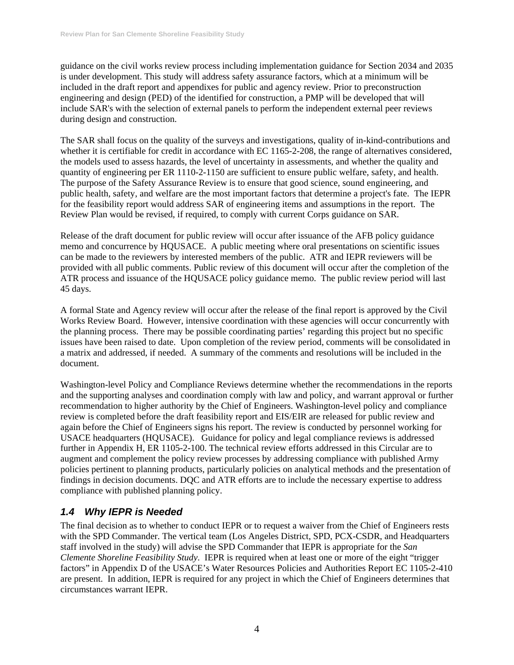guidance on the civil works review process including implementation guidance for Section 2034 and 2035 is under development. This study will address safety assurance factors, which at a minimum will be included in the draft report and appendixes for public and agency review. Prior to preconstruction engineering and design (PED) of the identified for construction, a PMP will be developed that will include SAR's with the selection of external panels to perform the independent external peer reviews during design and construction.

The SAR shall focus on the quality of the surveys and investigations, quality of in-kind-contributions and whether it is certifiable for credit in accordance with EC 1165-2-208, the range of alternatives considered, the models used to assess hazards, the level of uncertainty in assessments, and whether the quality and quantity of engineering per ER 1110-2-1150 are sufficient to ensure public welfare, safety, and health. The purpose of the Safety Assurance Review is to ensure that good science, sound engineering, and public health, safety, and welfare are the most important factors that determine a project's fate. The IEPR for the feasibility report would address SAR of engineering items and assumptions in the report. The Review Plan would be revised, if required, to comply with current Corps guidance on SAR.

Release of the draft document for public review will occur after issuance of the AFB policy guidance memo and concurrence by HQUSACE. A public meeting where oral presentations on scientific issues can be made to the reviewers by interested members of the public. ATR and IEPR reviewers will be provided with all public comments. Public review of this document will occur after the completion of the ATR process and issuance of the HQUSACE policy guidance memo. The public review period will last 45 days.

A formal State and Agency review will occur after the release of the final report is approved by the Civil Works Review Board. However, intensive coordination with these agencies will occur concurrently with the planning process. There may be possible coordinating parties' regarding this project but no specific issues have been raised to date. Upon completion of the review period, comments will be consolidated in a matrix and addressed, if needed. A summary of the comments and resolutions will be included in the document.

Washington-level Policy and Compliance Reviews determine whether the recommendations in the reports and the supporting analyses and coordination comply with law and policy, and warrant approval or further recommendation to higher authority by the Chief of Engineers. Washington-level policy and compliance review is completed before the draft feasibility report and EIS/EIR are released for public review and again before the Chief of Engineers signs his report. The review is conducted by personnel working for USACE headquarters (HQUSACE). Guidance for policy and legal compliance reviews is addressed further in Appendix H, ER 1105-2-100. The technical review efforts addressed in this Circular are to augment and complement the policy review processes by addressing compliance with published Army policies pertinent to planning products, particularly policies on analytical methods and the presentation of findings in decision documents. DQC and ATR efforts are to include the necessary expertise to address compliance with published planning policy.

## *1.4 Why IEPR is Needed*

The final decision as to whether to conduct IEPR or to request a waiver from the Chief of Engineers rests with the SPD Commander. The vertical team (Los Angeles District, SPD, PCX-CSDR, and Headquarters staff involved in the study) will advise the SPD Commander that IEPR is appropriate for the *San Clemente Shoreline Feasibility Study*. IEPR is required when at least one or more of the eight "trigger factors" in Appendix D of the USACE's Water Resources Policies and Authorities Report EC 1105-2-410 are present. In addition, IEPR is required for any project in which the Chief of Engineers determines that circumstances warrant IEPR.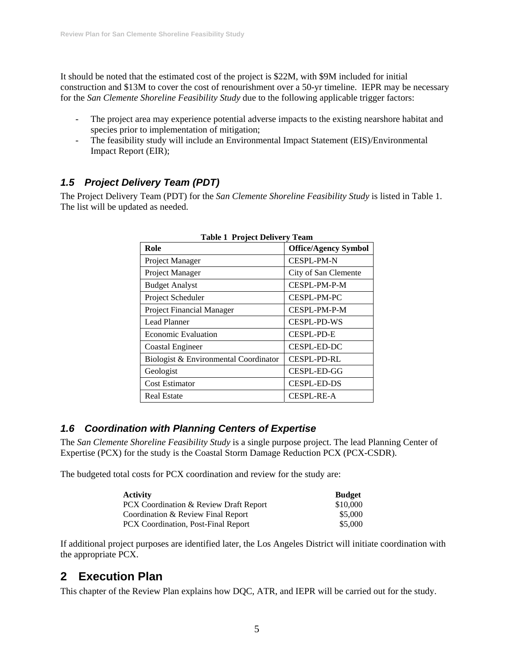It should be noted that the estimated cost of the project is \$22M, with \$9M included for initial construction and \$13M to cover the cost of renourishment over a 50-yr timeline. IEPR may be necessary for the *San Clemente Shoreline Feasibility Study* due to the following applicable trigger factors:

- The project area may experience potential adverse impacts to the existing nearshore habitat and species prior to implementation of mitigation;
- The feasibility study will include an Environmental Impact Statement (EIS)/Environmental Impact Report (EIR);

## *1.5 Project Delivery Team (PDT)*

The Project Delivery Team (PDT) for the *San Clemente Shoreline Feasibility Study* is listed in Table 1. The list will be updated as needed.

| Role                                  | <b>Office/Agency Symbol</b> |
|---------------------------------------|-----------------------------|
| Project Manager                       | <b>CESPL-PM-N</b>           |
| Project Manager                       | City of San Clemente        |
| <b>Budget Analyst</b>                 | CESPL-PM-P-M                |
| Project Scheduler                     | CESPL-PM-PC                 |
| <b>Project Financial Manager</b>      | CESPL-PM-P-M                |
| Lead Planner                          | CESPL-PD-WS                 |
| Economic Evaluation                   | CESPL-PD-E                  |
| <b>Coastal Engineer</b>               | CESPL-ED-DC                 |
| Biologist & Environmental Coordinator | <b>CESPL-PD-RL</b>          |
| Geologist                             | CESPL-ED-GG                 |
| Cost Estimator                        | <b>CESPL-ED-DS</b>          |
| <b>Real Estate</b>                    | <b>CESPL-RE-A</b>           |

| <b>Table 1 Project Delivery Team</b> |  |
|--------------------------------------|--|
|                                      |  |

### *1.6 Coordination with Planning Centers of Expertise*

The *San Clemente Shoreline Feasibility Study* is a single purpose project. The lead Planning Center of Expertise (PCX) for the study is the Coastal Storm Damage Reduction PCX (PCX-CSDR).

The budgeted total costs for PCX coordination and review for the study are:

| <b>Activity</b>                        | <b>Budget</b> |
|----------------------------------------|---------------|
| PCX Coordination & Review Draft Report | \$10,000      |
| Coordination & Review Final Report     | \$5,000       |
| PCX Coordination, Post-Final Report    | \$5,000       |

If additional project purposes are identified later, the Los Angeles District will initiate coordination with the appropriate PCX.

## **2 Execution Plan**

This chapter of the Review Plan explains how DQC, ATR, and IEPR will be carried out for the study.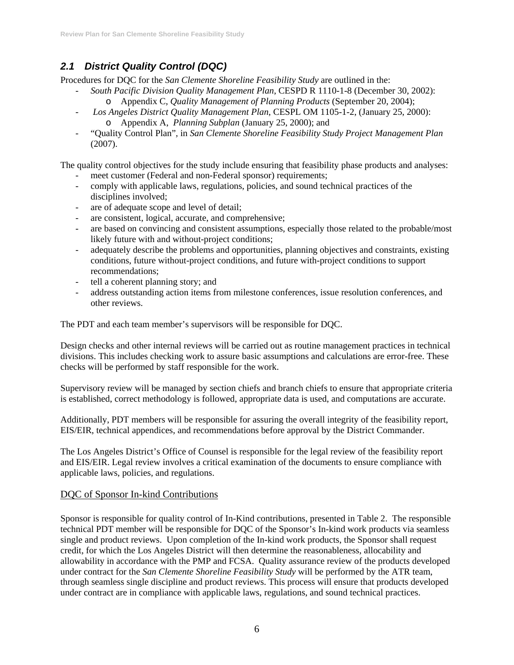## *2.1 District Quality Control (DQC)*

Procedures for DQC for the *San Clemente Shoreline Feasibility Study* are outlined in the:

- *South Pacific Division Quality Management Plan*, CESPD R 1110-1-8 (December 30, 2002): o Appendix C, *Quality Management of Planning Products* (September 20, 2004);
- *Los Angeles District Quality Management Plan*, CESPL OM 1105-1-2, (January 25, 2000): o Appendix A, *Planning Subplan* (January 25, 2000); and
- "Quality Control Plan"*,* in *San Clemente Shoreline Feasibility Study Project Management Plan*  (2007).

The quality control objectives for the study include ensuring that feasibility phase products and analyses:

- meet customer (Federal and non-Federal sponsor) requirements;
- comply with applicable laws, regulations, policies, and sound technical practices of the disciplines involved;
- are of adequate scope and level of detail;
- are consistent, logical, accurate, and comprehensive;
- are based on convincing and consistent assumptions, especially those related to the probable/most likely future with and without-project conditions;
- adequately describe the problems and opportunities, planning objectives and constraints, existing conditions, future without-project conditions, and future with-project conditions to support recommendations;
- tell a coherent planning story; and
- address outstanding action items from milestone conferences, issue resolution conferences, and other reviews.

The PDT and each team member's supervisors will be responsible for DQC.

Design checks and other internal reviews will be carried out as routine management practices in technical divisions. This includes checking work to assure basic assumptions and calculations are error-free. These checks will be performed by staff responsible for the work.

Supervisory review will be managed by section chiefs and branch chiefs to ensure that appropriate criteria is established, correct methodology is followed, appropriate data is used, and computations are accurate.

Additionally, PDT members will be responsible for assuring the overall integrity of the feasibility report, EIS/EIR, technical appendices, and recommendations before approval by the District Commander.

The Los Angeles District's Office of Counsel is responsible for the legal review of the feasibility report and EIS/EIR. Legal review involves a critical examination of the documents to ensure compliance with applicable laws, policies, and regulations.

### DQC of Sponsor In-kind Contributions

Sponsor is responsible for quality control of In-Kind contributions, presented in Table 2. The responsible technical PDT member will be responsible for DQC of the Sponsor's In-kind work products via seamless single and product reviews. Upon completion of the In-kind work products, the Sponsor shall request credit, for which the Los Angeles District will then determine the reasonableness, allocability and allowability in accordance with the PMP and FCSA. Quality assurance review of the products developed under contract for the *San Clemente Shoreline Feasibility Study* will be performed by the ATR team, through seamless single discipline and product reviews. This process will ensure that products developed under contract are in compliance with applicable laws, regulations, and sound technical practices.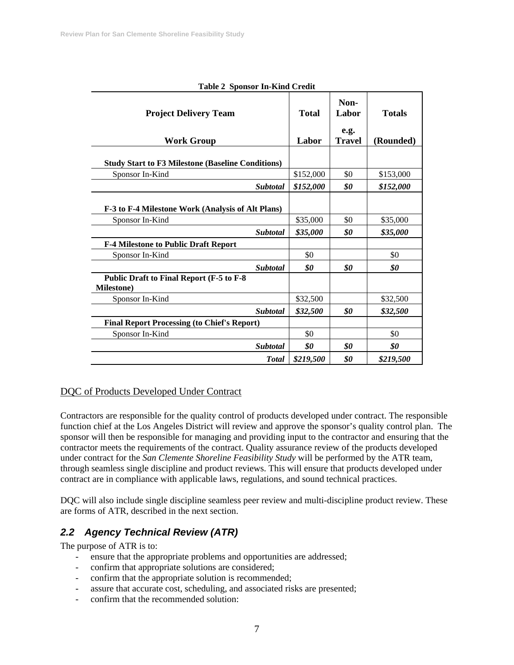| Table 2 Spoilsor III-Kind Credit                                      |                       |                                        |                            |  |
|-----------------------------------------------------------------------|-----------------------|----------------------------------------|----------------------------|--|
| <b>Project Delivery Team</b><br><b>Work Group</b>                     | <b>Total</b><br>Labor | Non-<br>Labor<br>e.g.<br><b>Travel</b> | <b>Totals</b><br>(Rounded) |  |
| <b>Study Start to F3 Milestone (Baseline Conditions)</b>              |                       |                                        |                            |  |
| Sponsor In-Kind                                                       | \$152,000             | \$0                                    | \$153,000                  |  |
| <b>Subtotal</b>                                                       | \$152,000             | \$0                                    | \$152,000                  |  |
| F-3 to F-4 Milestone Work (Analysis of Alt Plans)                     | \$35,000              | \$0                                    |                            |  |
| Sponsor In-Kind<br><b>Subtotal</b>                                    | \$35,000              | \$0                                    | \$35,000<br>\$35,000       |  |
| <b>F-4 Milestone to Public Draft Report</b>                           |                       |                                        |                            |  |
| Sponsor In-Kind                                                       | \$0                   |                                        | \$0                        |  |
| <b>Subtotal</b>                                                       | \$0                   | \$0                                    | \$0                        |  |
| <b>Public Draft to Final Report (F-5 to F-8</b><br><b>Milestone</b> ) |                       |                                        |                            |  |
| Sponsor In-Kind                                                       | \$32,500              |                                        | \$32,500                   |  |
| <b>Subtotal</b>                                                       | \$32,500              | \$0                                    | \$32,500                   |  |
| <b>Final Report Processing (to Chief's Report)</b>                    |                       |                                        |                            |  |
| Sponsor In-Kind                                                       | \$0                   |                                        | \$0                        |  |
| <b>Subtotal</b>                                                       | \$0                   | \$0                                    | \$0                        |  |
| <b>Total</b>                                                          | \$219,500             | \$0                                    | \$219,500                  |  |

#### **Table 2 Sponsor In-Kind Credit**

#### DQC of Products Developed Under Contract

Contractors are responsible for the quality control of products developed under contract. The responsible function chief at the Los Angeles District will review and approve the sponsor's quality control plan. The sponsor will then be responsible for managing and providing input to the contractor and ensuring that the contractor meets the requirements of the contract. Quality assurance review of the products developed under contract for the *San Clemente Shoreline Feasibility Study* will be performed by the ATR team, through seamless single discipline and product reviews. This will ensure that products developed under contract are in compliance with applicable laws, regulations, and sound technical practices.

DQC will also include single discipline seamless peer review and multi-discipline product review. These are forms of ATR, described in the next section.

### *2.2 Agency Technical Review (ATR)*

The purpose of ATR is to:

- ensure that the appropriate problems and opportunities are addressed;
- confirm that appropriate solutions are considered;
- confirm that the appropriate solution is recommended;
- assure that accurate cost, scheduling, and associated risks are presented;
- confirm that the recommended solution: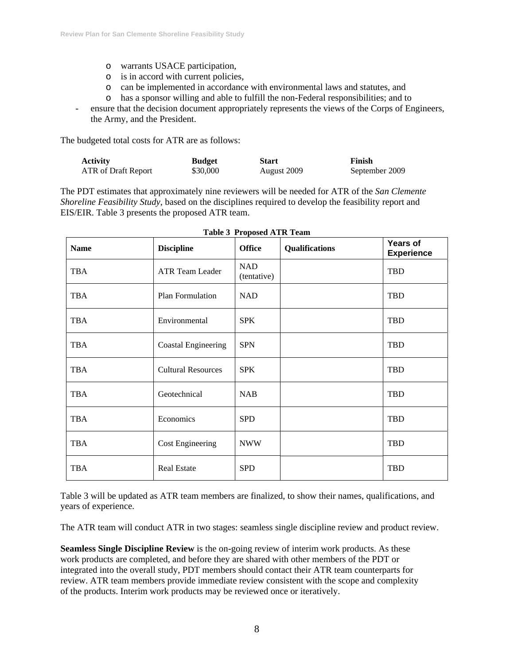- o warrants USACE participation,
- o is in accord with current policies,
- o can be implemented in accordance with environmental laws and statutes, and
- o has a sponsor willing and able to fulfill the non-Federal responsibilities; and to
- ensure that the decision document appropriately represents the views of the Corps of Engineers, the Army, and the President.

The budgeted total costs for ATR are as follows:

| <b>Activity</b>     | <b>Budget</b> | <b>Start</b> | Finish         |
|---------------------|---------------|--------------|----------------|
| ATR of Draft Report | \$30,000      | August 2009  | September 2009 |

The PDT estimates that approximately nine reviewers will be needed for ATR of the *San Clemente Shoreline Feasibility Study*, based on the disciplines required to develop the feasibility report and EIS/EIR. Table 3 presents the proposed ATR team.

| <b>Name</b> | <b>Discipline</b>         | <b>Office</b>             | Qualifications | Years of<br><b>Experience</b> |
|-------------|---------------------------|---------------------------|----------------|-------------------------------|
| <b>TBA</b>  | <b>ATR Team Leader</b>    | <b>NAD</b><br>(tentative) |                | <b>TBD</b>                    |
| <b>TBA</b>  | Plan Formulation          | <b>NAD</b>                |                | TBD                           |
| <b>TBA</b>  | Environmental             | <b>SPK</b>                |                | TBD                           |
| <b>TBA</b>  | Coastal Engineering       | <b>SPN</b>                |                | TBD                           |
| <b>TBA</b>  | <b>Cultural Resources</b> | <b>SPK</b>                |                | TBD                           |
| <b>TBA</b>  | Geotechnical              | <b>NAB</b>                |                | TBD                           |
| <b>TBA</b>  | Economics                 | <b>SPD</b>                |                | TBD                           |
| <b>TBA</b>  | <b>Cost Engineering</b>   | <b>NWW</b>                |                | <b>TBD</b>                    |
| <b>TBA</b>  | <b>Real Estate</b>        | <b>SPD</b>                |                | <b>TBD</b>                    |

Table 3 will be updated as ATR team members are finalized, to show their names, qualifications, and years of experience.

The ATR team will conduct ATR in two stages: seamless single discipline review and product review.

**Seamless Single Discipline Review** is the on-going review of interim work products. As these work products are completed, and before they are shared with other members of the PDT or integrated into the overall study, PDT members should contact their ATR team counterparts for review. ATR team members provide immediate review consistent with the scope and complexity of the products. Interim work products may be reviewed once or iteratively.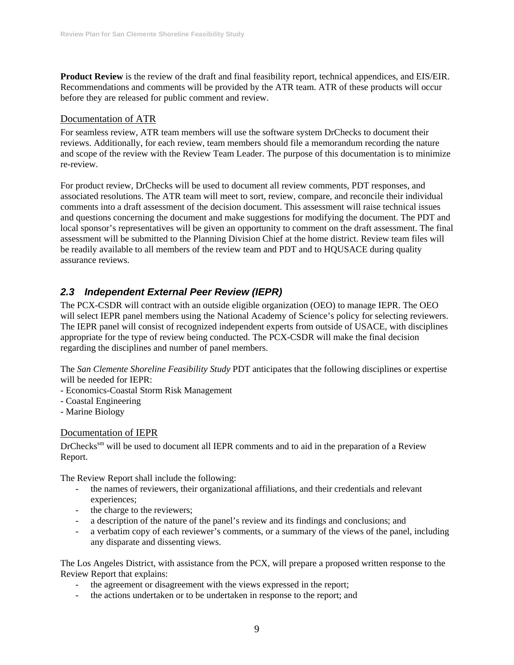**Product Review** is the review of the draft and final feasibility report, technical appendices, and EIS/EIR. Recommendations and comments will be provided by the ATR team. ATR of these products will occur before they are released for public comment and review.

#### Documentation of ATR

For seamless review, ATR team members will use the software system DrChecks to document their reviews. Additionally, for each review, team members should file a memorandum recording the nature and scope of the review with the Review Team Leader. The purpose of this documentation is to minimize re-review.

For product review, DrChecks will be used to document all review comments, PDT responses, and associated resolutions. The ATR team will meet to sort, review, compare, and reconcile their individual comments into a draft assessment of the decision document. This assessment will raise technical issues and questions concerning the document and make suggestions for modifying the document. The PDT and local sponsor's representatives will be given an opportunity to comment on the draft assessment. The final assessment will be submitted to the Planning Division Chief at the home district. Review team files will be readily available to all members of the review team and PDT and to HQUSACE during quality assurance reviews.

## *2.3 Independent External Peer Review (IEPR)*

The PCX-CSDR will contract with an outside eligible organization (OEO) to manage IEPR. The OEO will select IEPR panel members using the National Academy of Science's policy for selecting reviewers. The IEPR panel will consist of recognized independent experts from outside of USACE, with disciplines appropriate for the type of review being conducted. The PCX-CSDR will make the final decision regarding the disciplines and number of panel members.

The *San Clemente Shoreline Feasibility Study* PDT anticipates that the following disciplines or expertise will be needed for IEPR:

- Economics-Coastal Storm Risk Management
- Coastal Engineering
- Marine Biology

#### Documentation of IEPR

DrChecks<sup>sm</sup> will be used to document all IEPR comments and to aid in the preparation of a Review Report.

The Review Report shall include the following:

- the names of reviewers, their organizational affiliations, and their credentials and relevant experiences;
- the charge to the reviewers;
- a description of the nature of the panel's review and its findings and conclusions; and
- a verbatim copy of each reviewer's comments, or a summary of the views of the panel, including any disparate and dissenting views.

The Los Angeles District, with assistance from the PCX, will prepare a proposed written response to the Review Report that explains:

- the agreement or disagreement with the views expressed in the report;
- the actions undertaken or to be undertaken in response to the report; and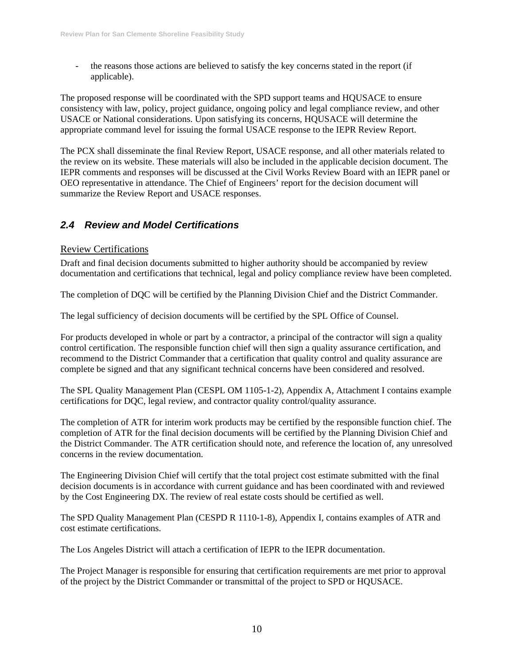the reasons those actions are believed to satisfy the key concerns stated in the report (if applicable).

The proposed response will be coordinated with the SPD support teams and HQUSACE to ensure consistency with law, policy, project guidance, ongoing policy and legal compliance review, and other USACE or National considerations. Upon satisfying its concerns, HQUSACE will determine the appropriate command level for issuing the formal USACE response to the IEPR Review Report.

The PCX shall disseminate the final Review Report, USACE response, and all other materials related to the review on its website. These materials will also be included in the applicable decision document. The IEPR comments and responses will be discussed at the Civil Works Review Board with an IEPR panel or OEO representative in attendance. The Chief of Engineers' report for the decision document will summarize the Review Report and USACE responses.

## *2.4 Review and Model Certifications*

#### Review Certifications

Draft and final decision documents submitted to higher authority should be accompanied by review documentation and certifications that technical, legal and policy compliance review have been completed.

The completion of DQC will be certified by the Planning Division Chief and the District Commander.

The legal sufficiency of decision documents will be certified by the SPL Office of Counsel.

For products developed in whole or part by a contractor, a principal of the contractor will sign a quality control certification. The responsible function chief will then sign a quality assurance certification, and recommend to the District Commander that a certification that quality control and quality assurance are complete be signed and that any significant technical concerns have been considered and resolved.

The SPL Quality Management Plan (CESPL OM 1105-1-2), Appendix A, Attachment I contains example certifications for DQC, legal review, and contractor quality control/quality assurance.

The completion of ATR for interim work products may be certified by the responsible function chief. The completion of ATR for the final decision documents will be certified by the Planning Division Chief and the District Commander. The ATR certification should note, and reference the location of, any unresolved concerns in the review documentation.

The Engineering Division Chief will certify that the total project cost estimate submitted with the final decision documents is in accordance with current guidance and has been coordinated with and reviewed by the Cost Engineering DX. The review of real estate costs should be certified as well.

The SPD Quality Management Plan (CESPD R 1110-1-8), Appendix I, contains examples of ATR and cost estimate certifications.

The Los Angeles District will attach a certification of IEPR to the IEPR documentation.

The Project Manager is responsible for ensuring that certification requirements are met prior to approval of the project by the District Commander or transmittal of the project to SPD or HQUSACE.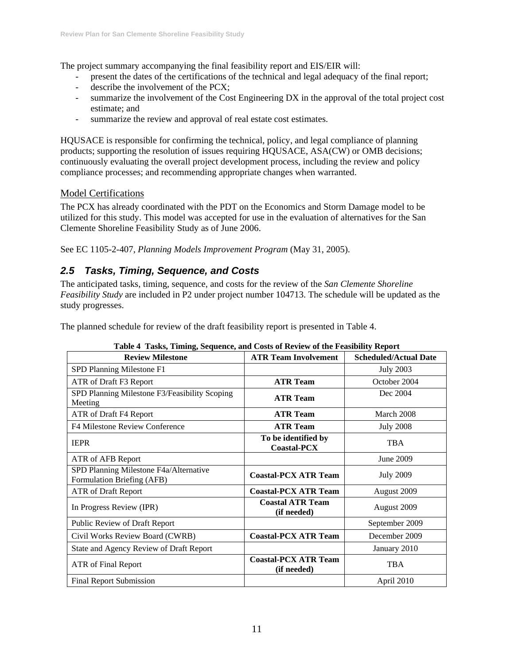The project summary accompanying the final feasibility report and EIS/EIR will:

- present the dates of the certifications of the technical and legal adequacy of the final report;
- describe the involvement of the PCX;
- summarize the involvement of the Cost Engineering DX in the approval of the total project cost estimate; and
- summarize the review and approval of real estate cost estimates.

HQUSACE is responsible for confirming the technical, policy, and legal compliance of planning products; supporting the resolution of issues requiring HQUSACE, ASA(CW) or OMB decisions; continuously evaluating the overall project development process, including the review and policy compliance processes; and recommending appropriate changes when warranted.

#### Model Certifications

The PCX has already coordinated with the PDT on the Economics and Storm Damage model to be utilized for this study. This model was accepted for use in the evaluation of alternatives for the San Clemente Shoreline Feasibility Study as of June 2006.

See EC 1105-2-407, *Planning Models Improvement Program* (May 31, 2005).

## *2.5 Tasks, Timing, Sequence, and Costs*

The anticipated tasks, timing, sequence, and costs for the review of the *San Clemente Shoreline Feasibility Study* are included in P2 under project number 104713. The schedule will be updated as the study progresses.

The planned schedule for review of the draft feasibility report is presented in Table 4.

| <b>Review Milestone</b>                                              | <b>ATR Team Involvement</b>                | <b>Scheduled/Actual Date</b> |
|----------------------------------------------------------------------|--------------------------------------------|------------------------------|
| SPD Planning Milestone F1                                            |                                            | <b>July 2003</b>             |
| ATR of Draft F3 Report                                               | <b>ATR Team</b>                            | October 2004                 |
| SPD Planning Milestone F3/Feasibility Scoping<br>Meeting             | <b>ATR Team</b>                            | Dec 2004                     |
| ATR of Draft F4 Report                                               | <b>ATR Team</b>                            | March 2008                   |
| F4 Milestone Review Conference                                       | <b>ATR Team</b>                            | <b>July 2008</b>             |
| <b>IEPR</b>                                                          | To be identified by<br><b>Coastal-PCX</b>  | <b>TBA</b>                   |
| ATR of AFB Report                                                    |                                            | June 2009                    |
| SPD Planning Milestone F4a/Alternative<br>Formulation Briefing (AFB) | <b>Coastal-PCX ATR Team</b>                | <b>July 2009</b>             |
| ATR of Draft Report                                                  | <b>Coastal-PCX ATR Team</b>                | August 2009                  |
| In Progress Review (IPR)                                             | <b>Coastal ATR Team</b><br>(if needed)     | August 2009                  |
| Public Review of Draft Report                                        |                                            | September 2009               |
| Civil Works Review Board (CWRB)                                      | <b>Coastal-PCX ATR Team</b>                | December 2009                |
| <b>State and Agency Review of Draft Report</b>                       |                                            | January 2010                 |
| <b>ATR</b> of Final Report                                           | <b>Coastal-PCX ATR Team</b><br>(if needed) | <b>TBA</b>                   |
| Final Report Submission                                              |                                            | April 2010                   |

#### **Table 4 Tasks, Timing, Sequence, and Costs of Review of the Feasibility Report**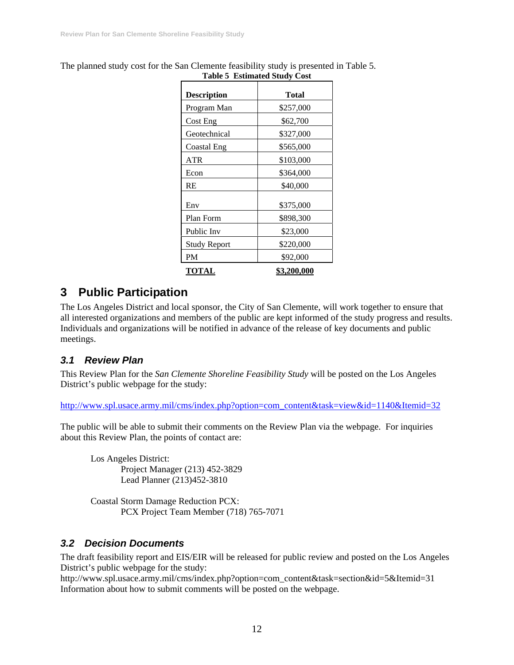|                     | Table 5 Estimated bludy Cost |
|---------------------|------------------------------|
| <b>Description</b>  | <b>Total</b>                 |
| Program Man         | \$257,000                    |
| Cost Eng            | \$62,700                     |
| Geotechnical        | \$327,000                    |
| <b>Coastal Eng</b>  | \$565,000                    |
| ATR                 | \$103,000                    |
| Econ                | \$364,000                    |
| RE                  | \$40,000                     |
| Env                 | \$375,000                    |
| Plan Form           | \$898,300                    |
| Public Inv          | \$23,000                     |
| <b>Study Report</b> | \$220,000                    |
| PM                  | \$92,000                     |
| <b>TOTAL</b>        | \$3,200,000                  |

The planned study cost for the San Clemente feasibility study is presented in Table 5. **Table 5 Estimated Study Cost** 

## **3 Public Participation**

The Los Angeles District and local sponsor, the City of San Clemente, will work together to ensure that all interested organizations and members of the public are kept informed of the study progress and results. Individuals and organizations will be notified in advance of the release of key documents and public meetings.

## *3.1 Review Plan*

This Review Plan for the *San Clemente Shoreline Feasibility Study* will be posted on the Los Angeles District's public webpage for the study:

http://www.spl.usace.army.mil/cms/index.php?option=com\_content&task=view&id=1140&Itemid=32

The public will be able to submit their comments on the Review Plan via the webpage. For inquiries about this Review Plan, the points of contact are:

Los Angeles District: Project Manager (213) 452-3829 Lead Planner (213)452-3810

Coastal Storm Damage Reduction PCX: PCX Project Team Member (718) 765-7071

### *3.2 Decision Documents*

The draft feasibility report and EIS/EIR will be released for public review and posted on the Los Angeles District's public webpage for the study:

http://www.spl.usace.army.mil/cms/index.php?option=com\_content&task=section&id=5&Itemid=31 Information about how to submit comments will be posted on the webpage.